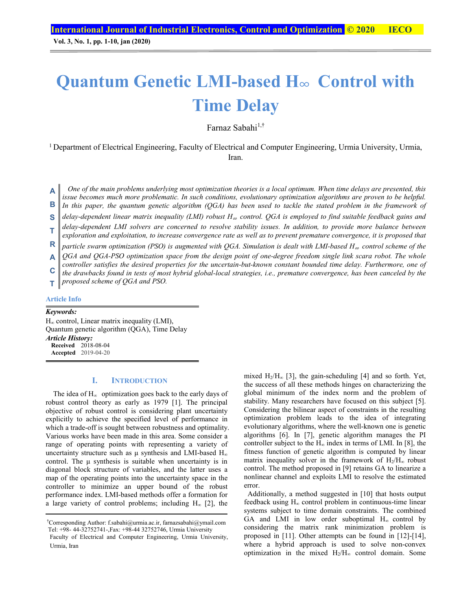## **Quantum Genetic LMI-based H**∞ **Control with Time Delay**

Farnaz Sabahi<sup>1,†</sup>

1 Department of Electrical Engineering, Faculty of Electrical and Computer Engineering, Urmia University, Urmia, Iran.

*One of the main problems underlying most optimization theories is a local optimum. When time delays are presented, this issue becomes much more problematic. In such conditions, evolutionary optimization algorithms are proven to be helpful.*  **A**

In this paper, the quantum genetic algorithm (QGA) has been used to tackle the stated problem in the framework of **B**

*delay-dependent linear matrix inequality (LMI) robust H*∞ *control. QGA is employed to find suitable feedback gains and*  **S** 

- *delay-dependent LMI solvers are concerned to resolve stability issues. In addition, to provide more balance between exploration and exploitation, to increase convergence rate as well as to prevent premature convergence, it is proposed that*  **T**
- *particle swarm optimization (PSO) is augmented with QGA. Simulation is dealt with LMI-based H*∞ *control scheme of the* **R**
- *QGA and QGA-PSO optimization space from the design point of one-degree freedom single link scara robot. The whole*  **A**
- *controller satisfies the desired properties for the uncertain-but-known constant bounded time delay. Furthermore, one of the drawbacks found in tests of most hybrid global-local strategies, i.e., premature convergence, has been canceled by the*  **C**
- *proposed scheme of QGA and PSO.*  **T**

#### **Article Info**

#### *Keywords:*

 $H_{\infty}$  control, Linear matrix inequality (LMI), Quantum genetic algorithm (QGA), Time Delay *Article History:*  **Received** 2018-08-04 **Accepted** 2019-04-20

## **I. INTRODUCTION**

The idea of  $H_{\infty}$  optimization goes back to the early days of robust control theory as early as 1979 [1]. The principal objective of robust control is considering plant uncertainty explicitly to achieve the specified level of performance in which a trade-off is sought between robustness and optimality. Various works have been made in this area. Some consider a range of operating points with representing a variety of uncertainty structure such as  $\mu$  synthesis and LMI-based H<sub>∞</sub> control. The  $\mu$  synthesis is suitable when uncertainty is in diagonal block structure of variables, and the latter uses a map of the operating points into the uncertainty space in the controller to minimize an upper bound of the robust performance index. LMI-based methods offer a formation for a large variety of control problems; including  $H_{\infty}$  [2], the mixed H<sub>2</sub>/H<sub>∞</sub> [3], the gain-scheduling [4] and so forth. Yet, the success of all these methods hinges on characterizing the global minimum of the index norm and the problem of stability. Many researchers have focused on this subject [5]. Considering the bilinear aspect of constraints in the resulting optimization problem leads to the idea of integrating evolutionary algorithms, where the well-known one is genetic algorithms [6]. In [7], genetic algorithm manages the PI controller subject to the  $H_{\infty}$  index in terms of LMI. In [8], the fitness function of genetic algorithm is computed by linear matrix inequality solver in the framework of  $H_2/H_{\infty}$  robust control. The method proposed in [9] retains GA to linearize a nonlinear channel and exploits LMI to resolve the estimated error.

 Additionally, a method suggested in [10] that hosts output feedback using H∞ control problem in continuous-time linear systems subject to time domain constraints. The combined GA and LMI in low order suboptimal  $H_{\infty}$  control by considering the matrix rank minimization problem is proposed in [11]. Other attempts can be found in [12]-[14], where a hybrid approach is used to solve non-convex optimization in the mixed  $H_2/H_{\infty}$  control domain. Some

<sup>†</sup> Corresponding Author: f.sabahi@urmia.ac.ir, farnazsabahi@ymail.com Tel: +98- 44-32752741-,Fax: +98-44 32752746, Urmia University

Faculty of Electrical and Computer Engineering, Urmia University, Urmia, Iran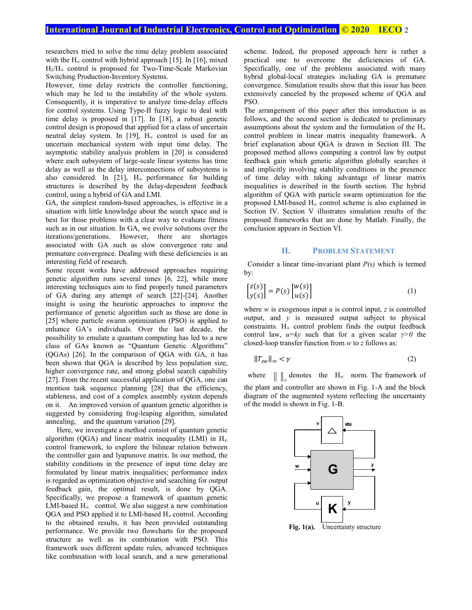researchers tried to solve the time delay problem associated with the  $H_{\infty}$  control with hybrid approach [15]. In [16], mixed H2/H∞ control is proposed for Two-Time-Scale Markovian Switching Production-Inventory Systems.

However, time delay restricts the controller functioning, which may be led to the instability of the whole system. Consequently, it is imperative to analyze time-delay effects for control systems. Using Type-II fuzzy logic to deal with time delay is proposed in [17]. In [18], a robust genetic control design is proposed that applied for a class of uncertain neutral delay system. In [19],  $H_{\infty}$  control is used for an uncertain mechanical system with input time delay. The asymptotic stability analysis problem in [20] is considered where each subsystem of large-scale linear systems has time delay as well as the delay interconnections of subsystems is also considered. In [21],  $H_{\infty}$  performance for building structures is described by the delay-dependent feedback control, using a hybrid of GA and LMI.

GA, the simplest random-based approaches, is effective in a situation with little knowledge about the search space and is best for those problems with a clear way to evaluate fitness such as in our situation. In GA, we evolve solutions over the iterations/generations. However, there are shortages associated with GA such as slow convergence rate and premature convergence. Dealing with these deficiencies is an interesting field of research.

Some recent works have addressed approaches requiring genetic algorithm runs several times [6, 22], while more interesting techniques aim to find properly tuned parameters of GA during any attempt of search [22]-[24]. Another insight is using the heuristic approaches to improve the performance of genetic algorithm such as those are done in [25] where particle swarm optimization (PSO) is applied to enhance GA's individuals. Over the last decade, the possibility to emulate a quantum computing has led to a new class of GAs known as "Quantum Genetic Algorithms" (QGAs) [26]. In the comparison of QGA with GA, it has been shown that QGA is described by less population size, higher convergence rate, and strong global search capability [27]. From the recent successful application of QGA, one can mention task sequence planning [28] that the efficiency, stableness, and cost of a complex assembly system depends on it. An improved version of quantum genetic algorithm is suggested by considering frog-leaping algorithm, simulated annealing, and the quantum variation [29].

 Here, we investigate a method consist of quantum genetic algorithm (QGA) and linear matrix inequality (LMI) in  $H_{\infty}$ control framework, to explore the bilinear relation between the controller gain and lyapunove matrix. In our method, the stability conditions in the presence of input time delay are formulated by linear matrix inequalities; performance index is regarded as optimization objective and searching for output feedback gain, the optimal result, is done by QGA. Specifically, we propose a framework of quantum genetic LMI-based  $H_{\infty}$  control. We also suggest a new combination  $OGA$  and PSO applied it to LMI-based  $H_{\infty}$  control. According to the obtained results, it has been provided outstanding performance. We provide two flowcharts for the proposed structure as well as its combination with PSO. This framework uses different update rules, advanced techniques like combination with local search, and a new generational scheme. Indeed, the proposed approach here is rather a practical one to overcome the deficiencies of GA. Specifically, one of the problems associated with many hybrid global-local strategies including GA is premature convergence. Simulation results show that this issue has been extensively canceled by the proposed scheme of QGA and PSO.

The arrangement of this paper after this introduction is as follows, and the second section is dedicated to preliminary assumptions about the system and the formulation of the  $H_{\infty}$ control problem in linear matrix inequality framework. A brief explanation about QGA is drawn in Section III. The proposed method allows computing a control law by output feedback gain which genetic algorithm globally searches it and implicitly involving stability conditions in the presence of time delay with taking advantage of linear matrix inequalities is described in the fourth section. The hybrid algorithm of QGA with particle swarm optimization for the proposed LMI-based H∞ control scheme is also explained in Section IV. Section V illustrates simulation results of the proposed frameworks that are done by Matlab. Finally, the conclusion appears in Section VI.

#### **II. PROBLEM STATEMENT**

 Consider a linear time-invariant plant *P(s)* which is termed by:

$$
\begin{bmatrix} z(s) \\ y(s) \end{bmatrix} = P(s) \begin{bmatrix} w(s) \\ u(s) \end{bmatrix}
$$
 (1)

where  $w$  is exogenous input  $u$  is control input,  $z$  is controlled output, and *y* is measured output subject to physical constraints. H∞ control problem finds the output feedback control law, *u=ky* such that for a given scalar *γ>0* the closed-loop transfer function from *w* to *z* follows as:

$$
||T_{zw}||_{\infty} < \gamma \tag{2}
$$

where  $\|\;\|$  denotes the H<sub>∞</sub> norm. The framework of the plant and controller are shown in Fig. 1-A and the block diagram of the augmented system reflecting the uncertainty of the model is shown in Fig. 1-B.

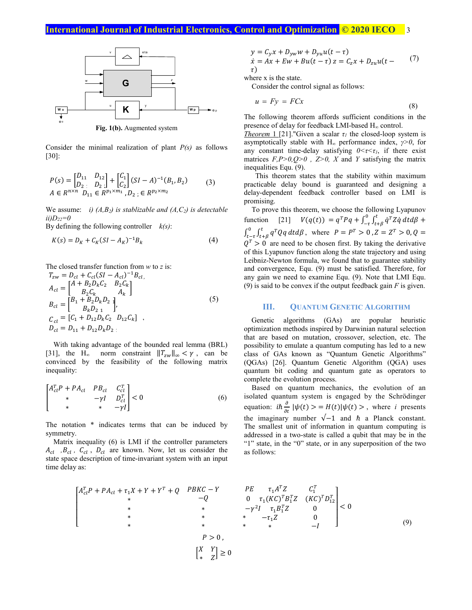## **International Journal of Industrial Electronics, Control and Optimization © 2020 IECO 3**



**Fig. 1(b).** Augmented system

Consider the minimal realization of plant *P(s)* as follows [30]:

$$
P(s) = \begin{bmatrix} D_{11} & D_{12} \\ D_{21} & D_{22} \end{bmatrix} + \begin{bmatrix} C_1 \\ C_2 \end{bmatrix} (SI - A)^{-1} (B_1, B_2)
$$
  
\n
$$
A \in R^{n \times n} \ D_{11} \in R^{p_1 \times m_1}, D_{22} \in R^{p_2 \times m_2}
$$
 (3)

We assume: *i)*  $(A, B_2)$  is stablizable and  $(A, C_2)$  is detectable  $ii)D_{22}=0$ 

By defining the following controller *k(s)*:

$$
K(s) = D_K + C_K(SI - A_K)^{-1}B_k
$$
 (4)

The closed transfer function from *<sup>w</sup>* to *z* is:

$$
T_{zw} = D_{cl} + C_{cl}(SI - A_{cl})^{-1}B_{cl},
$$
  
\n
$$
A_{cl} = \begin{bmatrix} A + B_2D_kC_2 & B_2C_k \\ B_2C_k & A_k \end{bmatrix}
$$
  
\n
$$
B_{cl} = \begin{bmatrix} B_1 + B_2D_kD_{21} \\ B_kD_{21} \end{bmatrix},
$$
  
\n
$$
C_{cl} = [C_1 + D_{12}D_kC_2 & D_{12}C_k] ,
$$
  
\n
$$
D_{cl} = D_{11} + D_{12}D_kD_{21}
$$
 (5)

With taking advantage of the bounded real lemma (BRL) [31], the H<sub>∞</sub> norm constraint  $||T_{zw}||_{\infty} < \gamma$ , can be convinced by the feasibility of the following matrix inequality:

$$
\begin{bmatrix} A_{cl}^T P + P A_{cl} & P B_{cl} & C_{cl}^T \\ * & -\gamma I & D_{cl}^T \\ * & * & -\gamma I \end{bmatrix} < 0
$$
 (6)

The notation \* indicates terms that can be induced by symmetry.

Matrix inequality (6) is LMI if the controller parameters  $A_{cl}$ ,  $B_{cl}$ ,  $C_{cl}$ ,  $D_{cl}$  are known. Now, let us consider the state space description of time-invariant system with an input time delay as:

$$
y = C_y x + D_{yw} w + D_{yu} u(t - \tau) \n\dot{x} = Ax + Ew + Bu(t - \tau) z = C_z x + D_{zu} u(t - \tau) \n\tau
$$
\n(7)

where x is the state.

Consider the control signal as follows:

$$
u = Fy = FCx \tag{8}
$$

The following theorem affords sufficient conditions in the presence of delay for feedback LMI-based H∞ control.

*Theorem* 1 [21]."Given a scalar  $\tau_l$  the closed-loop system is asymptotically stable with H∞ performance index, *γ>0*, for any constant time-delay satisfying  $0 \le \tau \le \tau_1$ , if there exist matrices  $F, P > 0, Q > 0$ ,  $Z > 0$ ,  $X$  and  $Y$  satisfying the matrix inequalities Equ. (9).

 This theorem states that the stability within maximum practicable delay bound is guaranteed and designing a delay-dependent feedback controller based on LMI is promising.

To prove this theorem, we choose the following Lyapunov function [21]  $V(q(t)) = q^T P q + \int_{-\tau}^0 \int_{t+\beta}^t \dot{q}^T Z \dot{q}$  $\int_{-\tau}^0 \int_{t+\beta}^t \dot{q}^T Z \dot{q} \ dt d\beta \ +$  $\int_{t-\tau}^{0} \int_{t+\beta}^{t} q^{T}Qq$  $\int_{t-\tau}^{0} \int_{t+\beta}^{t} q^{T} Q q dt d\beta$ , where  $P = P^{T} > 0$ ,  $Z = Z^{T} > 0$ ,  $Q =$  $Q<sup>T</sup> > 0$  are need to be chosen first. By taking the derivative of this Lyapunov function along the state trajectory and using Leibniz-Newton formula, we found that to guarantee stability and convergence, Equ. (9) must be satisfied. Therefore, for any gain we need to examine Equ. (9). Note that LMI Equ. (9) is said to be convex if the output feedback gain *F* is given.

#### **III. QUANTUM GENETIC ALGORITHM**

Genetic algorithms (GAs) are popular heuristic optimization methods inspired by Darwinian natural selection that are based on mutation, crossover, selection, etc. The possibility to emulate a quantum computing has led to a new class of GAs known as "Quantum Genetic Algorithms" (QGAs) [26]. Quantum Genetic Algorithm (QGA) uses quantum bit coding and quantum gate as operators to complete the evolution process.

 Based on quantum mechanics, the evolution of an isolated quantum system is engaged by the Schrödinger equation:  $i\hbar \frac{\partial}{\partial t} |\psi(t)\rangle = H(t)|\psi(t)\rangle$ , where *i* presents the imaginary number  $\sqrt{-1}$  and  $\hbar$  a Planck constant. The smallest unit of information in quantum computing is addressed in a two-state is called a qubit that may be in the "1" state, in the "0" state, or in any superposition of the two as follows:

$$
\begin{bmatrix}\nA_{cl}^T P + P A_{cl} + \tau_1 X + Y + Y^T + Q & P B K C - Y & P E & \tau_1 A^T Z & C_1^T \\
\ast & -Q & 0 & \tau_1 (K C)^T B_1^T Z & (K C)^T D_{12}^T \\
\ast & \ast & -\gamma^2 I & \tau_1 B_1^T Z & 0 \\
\ast & \ast & \ast & -\tau_1 Z & 0 \\
\ast & \ast & \ast & \ast & -I\n\end{bmatrix} < 0
$$
\n(9)

\n
$$
P > 0,
$$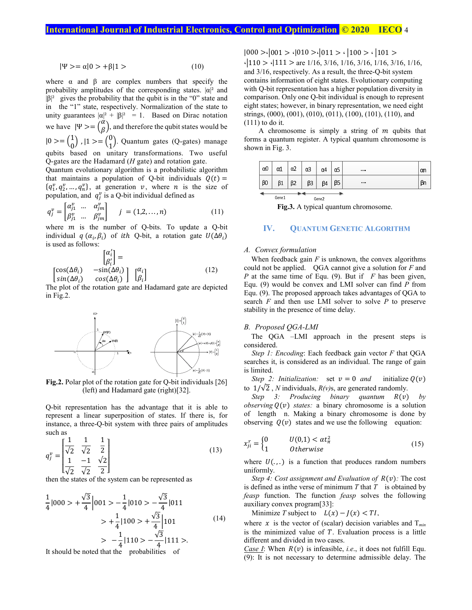$$
|\Psi\rangle = \alpha|0\rangle + \beta|1\rangle \tag{10}
$$

where  $\alpha$  and  $\beta$  are complex numbers that specify the probability amplitudes of the corresponding states.  $|\alpha|^2$  and  $|\beta|^2$  gives the probability that the qubit is in the "0" state and in the "1" state, respectively. Normalization of the state to unity guarantees  $|\alpha|^2 + |\beta|^2 = 1$ . Based on Dirac notation we have  $|\Psi\rangle = \begin{pmatrix} \alpha \\ \beta \end{pmatrix}$ , and therefore the qubit states would be  $|0\rangle = \begin{pmatrix} 1 \\ 0 \end{pmatrix}$ ,  $|1\rangle = \begin{pmatrix} 0 \\ 1 \end{pmatrix}$ . Quantum gates (Q-gates) manage qubits based on unitary transformations. Two useful Q-gates are the Hadamard (*H* gate) and rotation gate.

Quantum evolutionary algorithm is a probabilistic algorithm that maintains a population of Q-bit individuals  $Q(t) =$  $\{q_1^v, q_2^v, \dots, q_n^v\}$ , at generation v, where n is the size of population, and  $q_j^v$  is a Q-bit individual defined as

$$
q_j^{\nu} = \begin{bmatrix} \alpha_{j1}^{\nu} & \dots & \alpha_{jm}^{\nu} \\ \beta_{j1}^{\nu} & \dots & \beta_{jm}^{\nu} \end{bmatrix} \quad j = (1,2,\dots,n) \tag{11}
$$

where  $m$  is the number of Q-bits. To update a Q-bit individual  $q(\alpha_i, \beta_i)$  of *ith* Q-bit, a rotation gate  $U(\Delta \theta_i)$ is used as follows:

$$
\begin{bmatrix} \alpha'_i \\ \beta'_i \end{bmatrix} = \begin{bmatrix} \cos(\Delta\theta_i) & -\sin(\Delta\theta_i) \\ \sin(\Delta\theta_i) & \cos(\Delta\theta_i) \end{bmatrix} \begin{bmatrix} \alpha_i \\ \beta_i \end{bmatrix}
$$
 (12)

The plot of the rotation gate and Hadamard gate are depicted in Fig.2.



**Fig.2.** Polar plot of the rotation gate for Q-bit individuals [26] (left) and Hadamard gate (right)[32].

Q-bit representation has the advantage that it is able to represent a linear superposition of states. If there is, for instance, a three-Q-bit system with three pairs of amplitudes such as

$$
q_j^{\nu} = \begin{bmatrix} \frac{1}{\sqrt{2}} & \frac{1}{\sqrt{2}} & \frac{1}{2} \\ \frac{1}{\sqrt{2}} & \frac{-1}{\sqrt{2}} & \frac{\sqrt{2}}{2} \end{bmatrix}
$$
 (13)

then the states of the system can be represented as

$$
\frac{1}{4}|000\rangle + \frac{\sqrt{3}}{4}|001\rangle - \frac{1}{4}|010\rangle - \frac{\sqrt{3}}{4}|011\rangle
$$
  
\n
$$
\rangle + \frac{1}{4}|100\rangle + \frac{\sqrt{3}}{4}|101\rangle
$$
  
\n
$$
\rangle - \frac{1}{4}|110\rangle - \frac{\sqrt{3}}{4}|111\rangle.
$$
 (14)

It should be noted that the probabilities of

 $|000\rangle \cdot |001\rangle \cdot |010\rangle \cdot |011\rangle \cdot |100\rangle \cdot |101\rangle$  $\cdot$ |110 >  $\cdot$ |111 > are 1/16, 3/16, 1/16, 3/16, 1/16, 3/16, 1/16, and 3/16, respectively. As a result, the three-Q-bit system contains information of eight states. Evolutionary computing with Q-bit representation has a higher population diversity in comparison. Only one Q-bit individual is enough to represent eight states; however, in binary representation, we need eight strings, (000), (001), (010), (011), (100), (101), (110), and (111) to do it.

A chromosome is simply a string of  $m$  qubits that forms a quantum register. A typical quantum chromosome is shown in Fig. 3.

|                 | $\alpha$ 0 | <b>A</b><br>∽⊥ | $\alpha$ | $\alpha$ 3 | α4 | α5           | $\cdots$ | αn |
|-----------------|------------|----------------|----------|------------|----|--------------|----------|----|
|                 | $\beta$ O  | β1             | ٢۵       | o٠<br>ps   | ŘИ | $\sim$<br>pɔ | 1.111    | pn |
| <b>Barriott</b> |            |                |          |            |    |              |          |    |

Gene 1 Gene 2

**Fig.3.** A typical quantum chromosome.

## **IV. QUANTUM GENETIC ALGORITHM**

#### *A. Convex formulation*

When feedback gain *F* is unknown, the convex algorithms could not be applied. QGA cannot give a solution for *F* and *P* at the same time of Equ. (9). But if *F* has been given, Equ. (9) would be convex and LMI solver can find *P* from Equ. (9). The proposed approach takes advantages of QGA to search *F* and then use LMI solver to solve *P* to preserve stability in the presence of time delay.

#### *B. Proposed QGA-LMI*

 The QGA –LMI approach in the present steps is considered.

*Step 1: Encoding*: Each feedback gain vector *F* that QGA searches it, is considered as an individual. The range of gain is limited.

*Step 2: Initialization:* set  $v = 0$  *and* initialize  $Q(v)$ to  $1/\sqrt{2}$ , *N* individuals, *R(v)*s, are generated randomly.

*Step 3: Producing binary quantum*  $R(v)$  *by observing*  $Q(v)$  *states:* a binary chromosome is a solution of length n. Making a binary chromosome is done by observing  $Q(v)$  states and we use the following equation:

$$
x_{ji}^r = \begin{cases} 0 & U(0,1) < \alpha t_\pi^2 \\ 1 & \text{otherwise} \end{cases} \tag{15}
$$

where  $U(.,.)$  is a function that produces random numbers uniformly.

*Step 4: Cost assignment and Evaluation of*  $R(v)$ *: The cost* is defined as inthe verse of minimum *T* that *T* is obtained by *feasp* function. The function *feasp* solves the following auxiliary convex program[33]:

Minimize *T* subject to  $L(x) - J(x) < TI$ ,

where  $x$  is the vector of (scalar) decision variables and  $T_{min}$ is the minimized value of  $T$ . Evaluation process is a little different and divided in two cases.

*Case I*: When  $R(v)$  is infeasible, *i.e.*, it does not fulfill Equ. (9): It is not necessary to determine admissible delay. The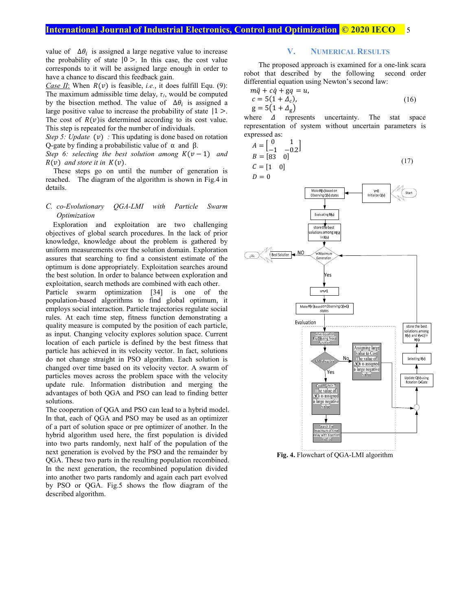## **International Journal of Industrial Electronics, Control and Optimization © 2020 IECO 5**

value of  $\Delta \theta_i$  is assigned a large negative value to increase the probability of state  $|0 \rangle$ . In this case, the cost value corresponds to it will be assigned large enough in order to have a chance to discard this feedback gain.

*Case II*: When  $R(v)$  is feasible, *i.e.*, it does fulfill Equ. (9): The maximum admissible time delay,  $\tau_l$ , would be computed by the bisection method. The value of  $\Delta\theta_i$  is assigned a large positive value to increase the probability of state  $|1\rangle$ . The cost of  $R(v)$  is determined according to its cost value. This step is repeated for the number of individuals.

*Step 5: Update* (*v*) : This updating is done based on rotation Q-gate by finding a probabilistic value of α and β.

*Step 6: selecting the best solution among*  $K(v-1)$  *and*  $R(v)$  and store it in  $K(v)$ .

These steps go on until the number of generation is reached. The diagram of the algorithm is shown in Fig.4 in details.

#### *C. co-Evolutionary QGA-LMI with Particle Swarm Optimization*

 Exploration and exploitation are two challenging objectives of global search procedures. In the lack of prior knowledge, knowledge about the problem is gathered by uniform measurements over the solution domain. Exploration assures that searching to find a consistent estimate of the optimum is done appropriately. Exploitation searches around the best solution. In order to balance between exploration and exploitation, search methods are combined with each other.

Particle swarm optimization [34] is one of the population-based algorithms to find global optimum, it employs social interaction. Particle trajectories regulate social rules. At each time step, fitness function demonstrating a quality measure is computed by the position of each particle, as input. Changing velocity explores solution space. Current location of each particle is defined by the best fitness that particle has achieved in its velocity vector. In fact, solutions do not change straight in PSO algorithm. Each solution is changed over time based on its velocity vector. A swarm of particles moves across the problem space with the velocity update rule. Information distribution and merging the advantages of both QGA and PSO can lead to finding better solutions.

The cooperation of QGA and PSO can lead to a hybrid model. In that, each of QGA and PSO may be used as an optimizer of a part of solution space or pre optimizer of another. In the hybrid algorithm used here, the first population is divided into two parts randomly, next half of the population of the next generation is evolved by the PSO and the remainder by QGA. These two parts in the resulting population recombined. In the next generation, the recombined population divided into another two parts randomly and again each part evolved by PSO or QGA. Fig.5 shows the flow diagram of the described algorithm.

### **V. NUMERICAL RESULTS**

 The proposed approach is examined for a one-link scara robot that described by the following second order differential equation using Newton's second law:

$$
m\ddot{q} + c\dot{q} + gq = u,
$$
  
\n
$$
c = 5(1 + \Delta_c),
$$
  
\n
$$
g = 5(1 + \Delta_g)
$$
\n(16)

where  $\Delta$  represents uncertainty. The stat space representation of system without uncertain parameters is expressed as:

$$
A = \begin{bmatrix} 0 & 1 \\ -1 & -0.2 \end{bmatrix}
$$
  
\n
$$
B = \begin{bmatrix} 83 & 0 \end{bmatrix}
$$
  
\n
$$
C = \begin{bmatrix} 1 & 0 \end{bmatrix}
$$
 (17)



**Fig. 4.** Flowchart of QGA-LMI algorithm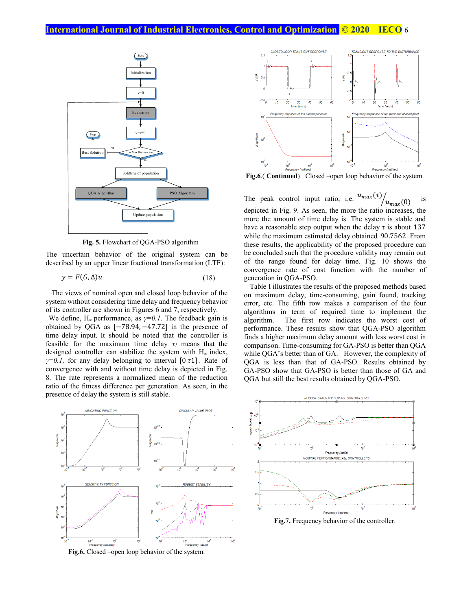

**Fig. 5.** Flowchart of QGA-PSO algorithm

The uncertain behavior of the original system can be described by an upper linear fractional transformation (LTF):

 $y = F(G, \Delta)u$  (18)

 The views of nominal open and closed loop behavior of the system without considering time delay and frequency behavior of its controller are shown in Figures 6 and 7, respectively.

We define,  $H_{\infty}$  performance, as  $\gamma=0.1$ . The feedback gain is obtained by QGA as [−78.94, −47.72] in the presence of time delay input. It should be noted that the controller is feasible for the maximum time delay  $\tau_1$  means that the designed controller can stabilize the system with  $H_{\infty}$  index,  $\gamma=0.1$ , for any delay belonging to interval [0 $\tau$ 1]. Rate of convergence with and without time delay is depicted in Fig. 8. The rate represents a normalized mean of the reduction ratio of the fitness difference per generation. As seen, in the presence of delay the system is still stable.





**Fig.6**.( **Continued**) Closed –open loop behavior of the system.

The peak control input ratio, i.e.  $u_{max}(\tau)$  $\sqrt[n]{u_{max}(0)}$  is depicted in Fig. 9. As seen, the more the ratio increases, the more the amount of time delay is. The system is stable and have a reasonable step output when the delay  $\tau$  is about 137 while the maximum estimated delay obtained 90.7562. From these results, the applicability of the proposed procedure can be concluded such that the procedure validity may remain out of the range found for delay time. Fig. 10 shows the convergence rate of cost function with the number of generation in QGA-PSO.

 Table I illustrates the results of the proposed methods based on maximum delay, time-consuming, gain found, tracking error, etc. The fifth row makes a comparison of the four algorithms in term of required time to implement the algorithm. The first row indicates the worst cost of performance. These results show that QGA-PSO algorithm finds a higher maximum delay amount with less worst cost in comparison. Time-consuming for GA-PSO is better than QGA while QGA's better than of GA. However, the complexity of QGA is less than that of GA-PSO. Results obtained by GA-PSO show that GA-PSO is better than those of GA and QGA but still the best results obtained by QGA-PSO.



**Fig.7.** Frequency behavior of the controller.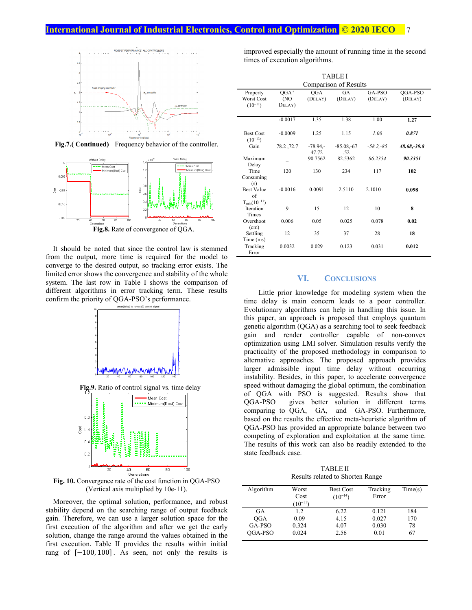## **International Journal of Industrial Electronics, Control and Optimization <b>C** 2020 IECO



**Fig.7.( Continued)** Frequency behavior of the controller.



 It should be noted that since the control law is stemmed from the output, more time is required for the model to converge to the desired output, so tracking error exists. The limited error shows the convergence and stability of the whole system. The last row in Table I shows the comparison of different algorithms in error tracking term. These results confirm the priority of QGA-PSO's performance.



**Fig.9.** Ratio of control signal vs. time delay



**Fig. 10.** Convergence rate of the cost function in QGA-PSO (Vertical axis multiplied by 10e-11).

 Moreover, the optimal solution, performance, and robust stability depend on the searching range of output feedback gain. Therefore, we can use a larger solution space for the first execution of the algorithm and after we get the early solution, change the range around the values obtained in the first execution. Table II provides the results within initial rang of  $[-100, 100]$ . As seen, not only the results is

improved especially the amount of running time in the second times of execution algorithms.

| <b>TABLE I</b>                                        |                                    |                     |                      |                   |                    |  |  |
|-------------------------------------------------------|------------------------------------|---------------------|----------------------|-------------------|--------------------|--|--|
| Comparison of Results                                 |                                    |                     |                      |                   |                    |  |  |
| Property<br><b>Worst Cost</b><br>$(10^{-11})$         | OGA <sup>a</sup><br>(NO)<br>DELAY) | QGA<br>(DELAY)      | <b>GA</b><br>(DELAY) | GA-PSO<br>(DELAY) | QGA-PSO<br>(DELAY) |  |  |
|                                                       |                                    |                     |                      |                   |                    |  |  |
|                                                       | $-0.0017$                          | 1.35                | 1.38                 | 1.00              | 1.27               |  |  |
| <b>Best Cost</b><br>$(10^{-13})$                      | $-0.0009$                          | 1.25                | 1.15                 | 1.00              | 0.871              |  |  |
| Gain                                                  | 78.2, 72.7                         | $-78.94 -$<br>47.72 | $-85.08,-67$<br>.52  | $-58.2 - 85$      | 48.68,-39.8        |  |  |
| Maximum<br>Delay                                      |                                    | 90.7562             | 82.5362              | 86.2354           | 90.3351            |  |  |
| Time<br>Consuming                                     | 120                                | 130                 | 234                  | 117               | 102                |  |  |
| (s)<br><b>Best Value</b><br>of<br>$T_{min}(10^{-11})$ | $-0.0016$                          | 0.0091              | 2.5110               | 2.1010            | 0.098              |  |  |
| <b>Iteration</b><br>Times                             | 9                                  | 15                  | 12                   | 10                | 8                  |  |  |
| Overshoot<br>(cm)                                     | 0.006                              | 0.05                | 0.025                | 0.078             | 0.02               |  |  |
| Settling<br>Time (ms)                                 | 12                                 | 35                  | 37                   | 28                | 18                 |  |  |
| Tracking<br>Error                                     | 0.0032                             | 0.029               | 0.123                | 0.031             | 0.012              |  |  |

### **VI. CONCLUSIONS**

 Little prior knowledge for modeling system when the time delay is main concern leads to a poor controller. Evolutionary algorithms can help in handling this issue. In this paper, an approach is proposed that employs quantum genetic algorithm (QGA) as a searching tool to seek feedback gain and render controller capable of non-convex optimization using LMI solver. Simulation results verify the practicality of the proposed methodology in comparison to alternative approaches. The proposed approach provides larger admissible input time delay without occurring instability. Besides, in this paper, to accelerate convergence speed without damaging the global optimum, the combination of QGA with PSO is suggested. Results show that QGA-PSO gives better solution in different terms comparing to QGA, GA, and GA-PSO. Furthermore, based on the results the effective meta-heuristic algorithm of QGA-PSO has provided an appropriate balance between two competing of exploration and exploitation at the same time. The results of this work can also be readily extended to the state feedback case.

TABLE II Results related to Shorten Range

| Algorithm  | Worst<br>Cost<br>$(10^{-11})$ | <b>Best Cost</b><br>$(10^{-14})$ | Tracking<br>Error | Time(s) |
|------------|-------------------------------|----------------------------------|-------------------|---------|
| GA         | 1.2                           | 6.22                             | 0.121             | 184     |
| <b>OGA</b> | 0.09                          | 4.15                             | 0.027             | 170     |
| GA-PSO     | 0.324                         | 4.07                             | 0.030             | 78      |
| OGA-PSO    | 0.024                         | 2.56                             | 0.01              | 67      |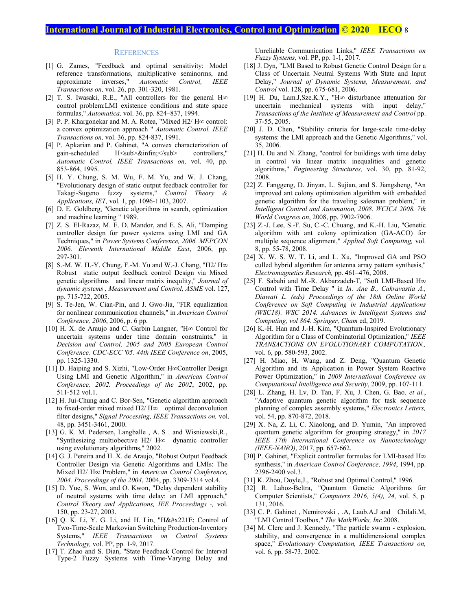## **International Journal of Industrial Electronics, Control and Optimization © 2020 IECO** 8

#### **REFERENCES**

- [1] G. Zames, "Feedback and optimal sensitivity: Model reference transformations, multiplicative seminorms, and approximate inverses," *Automatic Control, IEEE Transactions on,* vol. 26, pp. 301-320, 1981.
- [2] T. S. Iwasaki, R.E., "All controllers for the general H∞ control problem:LMI existence conditions and state space formulas," *Automatica,* vol. 36, pp. 824–837, 1994.
- [3] P. P. Khargonekar and M. A. Rotea, "Mixed H2/ H∞ control: a convex optimization approach " *Automatic Control, IEEE Transactions on,* vol. 36, pp. 824-837, 1991.
- [4] P. Apkarian and P. Gahinet, "A convex characterization of gain-scheduled H<sub>&infin;</sub> controllers," *Automatic Control, IEEE Transactions on,* vol. 40, pp. 853-864, 1995.
- [5] H. Y. Chung, S. M. Wu, F. M. Yu, and W. J. Chang, "Evolutionary design of static output feedback controller for Takagi-Sugeno fuzzy systems," *Control Theory & Applications, IET,* vol. 1, pp. 1096-1103, 2007.
- [6] D. E. Goldberg, "Genetic algorithms in search, optimization and machine learning " 1989.
- [7] Z. S. El-Razaz, M. E. D. Mandor, and E. S. Ali, "Damping controller design for power systems using LMI and GA Techniques," in *Power Systems Conference, 2006. MEPCON 2006. Eleventh International Middle East*, 2006, pp. 297-301.
- [8] S.-M. W. H.-Y. Chung, F.-M. Yu and W.-J. Chang, "H2/ H∞ Robust static output feedback control Design via Mixed genetic algorithms and linear matrix inequlity," *Journal of dynamic systems , Measurement and Control, ASME* vol. 127, pp. 715-722, 2005.
- [9] S. Te-Jen, W. Cian-Pin, and J. Gwo-Jia, "FIR equalization for nonlinear communication channels," in *American Control Conference, 2006*, 2006, p. 6 pp.
- [10] H. X. de Araujo and C. Garbin Langner, "H∞ Control for uncertain systems under time domain constraints," in *Decision and Control, 2005 and 2005 European Control Conference. CDC-ECC '05. 44th IEEE Conference on*, 2005, pp. 1325-1330.
- [11] D. Haiping and S. Xizhi, "Low-Order H∞Controller Design Using LMI and Genetic Algorithm," in *American Control Conference, 2002. Proceedings of the 2002*, 2002, pp. 511-512 vol.1.
- [12] H. Jui-Chung and C. Bor-Sen, "Genetic algorithm approach to fixed-order mixed mixed H2/ H∞ optimal deconvolution filter designs," *Signal Processing, IEEE Transactions on,* vol. 48, pp. 3451-3461, 2000.
- [13] G. K. M. Pedersen, Langballe, A. S. and Wisniewski, R., "Synthesizing multiobective H2/ H∞ dynamic controller using evolutionary algorithms," 2002.
- [14] G. J. Pereira and H. X. de Araujo, "Robust Output Feedback Controller Design via Genetic Algorithms and LMIs: The Mixed H2/ H∞ Problem," in *American Control Conference, 2004. Proceedings of the 2004*, 2004, pp. 3309-3314 vol.4.
- [15] D. Yue, S. Won, and O. Kwon, "Delay dependent stability of neutral systems with time delay: an LMI approach," *Control Theory and Applications, IEE Proceedings -,* vol. 150, pp. 23-27, 2003.
- [16] Q. K. Li, Y. G. Li, and H. Lin, "H∞ Control of Two-Time-Scale Markovian Switching Production-Inventory Systems," *IEEE Transactions on Control Systems Technology,* vol. PP, pp. 1-9, 2017.
- [17] T. Zhao and S. Dian, "State Feedback Control for Interval Type-2 Fuzzy Systems with Time-Varying Delay and

Unreliable Communication Links," *IEEE Transactions on Fuzzy Systems,* vol. PP, pp. 1-1, 2017.

- [18] J. Dyn, "LMI Based to Robust Genetic Control Design for a Class of Uncertain Neutral Systems With State and Input Delay," *Journal of Dynamic Systems, Measurement, and Control* vol. 128, pp. 675-681, 2006.
- [19] H. Du, Lam.J,Sze.K.Y., "H∞ disturbance attenuation for uncertain mechanical systems with input delay," *Transactions of the Institute of Measurement and Control* pp. 37-55, 2005.
- [20] J. D. Chen, "Stability criteria for large-scale time-delay systems: the LMI approach and the Genetic Algorithms," vol. 35, 2006.
- [21] H. Du and N. Zhang, "control for buildings with time delay in control via linear matrix inequalities and genetic algorithms," *Engineering Structures,* vol. 30, pp. 81-92, 2008.
- [22] Z. Fanggeng, D. Jinyan, L. Sujian, and S. Jiangsheng, "An improved ant colony optimization algorithm with embedded genetic algorithm for the traveling salesman problem," in *Intelligent Control and Automation, 2008. WCICA 2008. 7th World Congress on*, 2008, pp. 7902-7906.
- [23] Z.-J. Lee, S.-F. Su, C.-C. Chuang, and K.-H. Liu, "Genetic algorithm with ant colony optimization (GA-ACO) for multiple sequence alignment," *Applied Soft Computing,* vol. 8, pp. 55-78, 2008.
- [24] X. W. S. W. T. Li, and L. Xu, "Improved GA and PSO culled hybrid algorithm for antenna array pattern synthesis," *Electromagnetics Research,* pp. 461–476, 2008.
- [25] F. Sabahi and M.-R. Akbarzadeh-T, "Soft LMI-Based H∞ Control with Time Delay " in *In: Ane B., Cakravastia A., Diawati L. (eds) Proceedings of the 18th Online World Conference on Soft Computing in Industrial Applications (WSC18). WSC 2014. Advances in Intelligent Systems and Computing, vol 864. Springer, Cham* ed, 2019.
- [26] K.-H. Han and J.-H. Kim, "Quantum-Inspired Evolutionary Algorithm for a Class of Combinatorial Optimization," *IEEE TRANSACTIONS ON EVOLUTIONARY COMPUTATION,,*  vol. 6, pp. 580-593, 2002.
- [27] H. Miao, H. Wang, and Z. Deng, "Quantum Genetic Algorithm and its Application in Power System Reactive Power Optimization," in *2009 International Conference on Computational Intelligence and Security*, 2009, pp. 107-111.
- [28] L. Zhang, H. Lv, D. Tan, F. Xu, J. Chen, G. Bao*, et al.*, "Adaptive quantum genetic algorithm for task sequence planning of complex assembly systems," *Electronics Letters,*  vol. 54, pp. 870-872, 2018.
- [29] X. Na, Z. Li, C. Xiaolong, and D. Yumin, "An improved quantum genetic algorithm for grouping strategy," in *2017 IEEE 17th International Conference on Nanotechnology (IEEE-NANO)*, 2017, pp. 657-662.
- [30] P. Gahinet, "Explicit controller formulas for LMI-based H∞ synthesis," in *American Control Conference, 1994*, 1994, pp. 2396-2400 vol.3.
- [31] K. Zhou, Doyle, J., "Robust and Optimal Control," 1996.
- [32] R. Lahoz-Beltra, "Quantum Genetic Algorithms for Computer Scientists," *Computers 2016, 5(4), 24,* vol. 5, p. 131, 2016.
- [33] C. P. Gahinet, Nemirovski, .A, Laub.A.J and Chilali.M, "LMI Control Toolbox," *The MathWorks, Inc* 2008.
- [34] M. Clerc and J. Kennedy, "The particle swarm explosion, stability, and convergence in a multidimensional complex space," *Evolutionary Computation, IEEE Transactions on,*  vol. 6, pp. 58-73, 2002.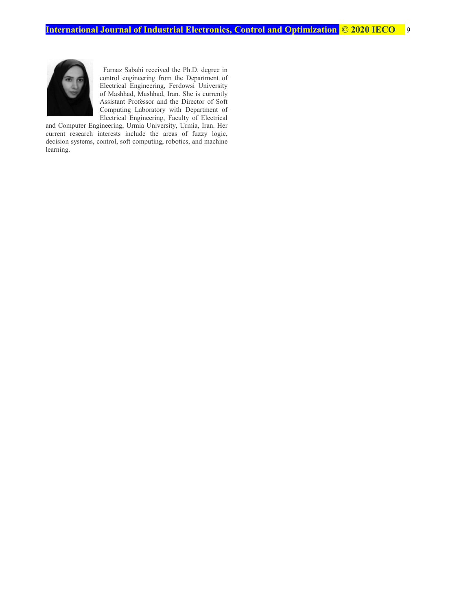

 Farnaz Sabahi received the Ph.D. degree in control engineering from the Department of Electrical Engineering, Ferdowsi University of Mashhad, Mashhad, Iran. She is currently Assistant Professor and the Director of Soft Computing Laboratory with Department of Electrical Engineering, Faculty of Electrical

and Computer Engineering, Urmia University, Urmia, Iran. Her current research interests include the areas of fuzzy logic, decision systems, control, soft computing, robotics, and machine learning.